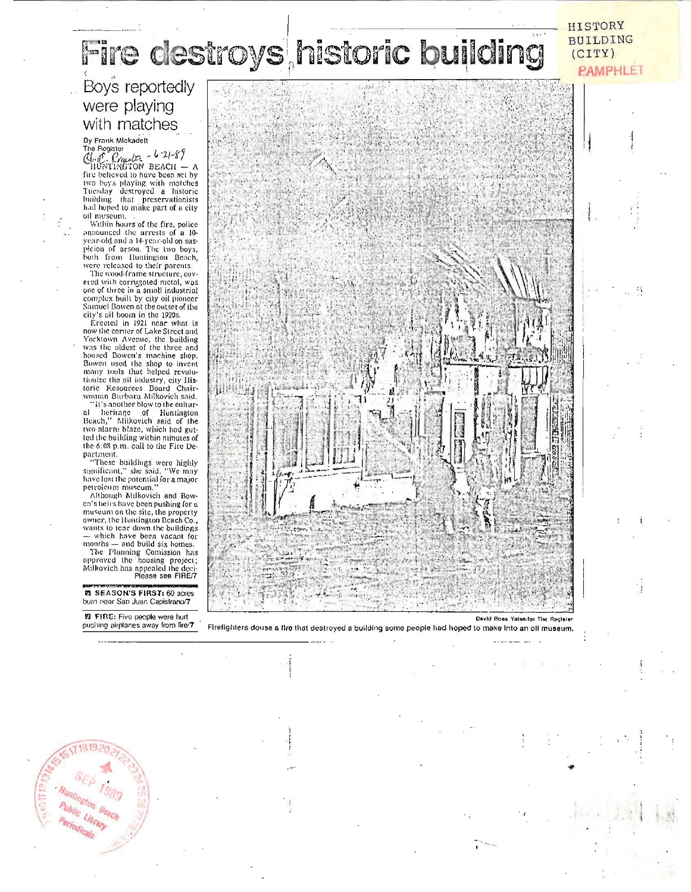# Fire destroys historic building

#### Boys reportedly were playing with matches

 $\begin{array}{l} \text{Dy Frank Mlexadent} \\ \text{The Register} \\ \text{C} \text{log} \text{C} \\ \text{HUPITNATION BEACT} \\ \text{HUPITNATION BEACT} \end{array}$  $\overline{A}$ fire believed to have been set by two boys playing with matches<br>Tuesday destroyed a historic<br>building that preservationists had hoped to make part of a city oil museum.

Within hours of the fire, police announced the arrests of a 10onnounce the arrests of a negative<br>picton of arson. The two boys,<br>both from Huntington Beach,<br>were released to their parents.

The wood-frame structure, covered with corrugated metal, was one of three in a small industrial<br>complex built by city oil pioneer Samuel Bowen at the outset of the

city's oil boom in the 1920s.<br>
Erected in 1921 near what is<br>
now the corner of Lake Street and how the comer of Lake Street and<br>Yorktown Avenue, the building<br>was the oldest of the three and<br>housed Bowen's machine shop.<br>Bowen used the shop to invent many tools that helped revulutionize the oil industry, city Historic Resources Board Chair-<br>woman Barbara Milkovich said.

"It's another blow to the cultural heritage of Huntington<br>Beach," Milkovich said of the<br>two-nlarm blaze, which had gutted the building within minutes of the 6:08 p.m. call to the Fire De-

the content.<br>
"These buildings were highly<br>
"These buildings were highly<br>
significant," she said. "We may<br>
have lost the potential for a major

petroleum museum."<br>Although Milkovich and Bow-<br>en's heirs have been pushing for a museum on the site, the property owner, the Huntington Beach Co., owner, the Huntington iseaen Co., wants to tear down the buildings<br>
— which have been vacant for<br>
months — and build six homes.<br>
The Plauning Comission has<br>
approved the 'housing project;<br>
Milkovich has appealed the deci-

EL SEASON'S FIRST: 60 acres burn near San Juan Capistrano/7

图 FIRE: Fivo people were hurt pushing airplanes away from fire/7



David Ross Yates for The Register

 $\mathbf{I}$ 

**HISTORY** BUILDING

 $(CITY)$ 

**PAMPHLET** 

Firefighters douse a fire that destroyed a building some people had hoped to make into an oil museum.

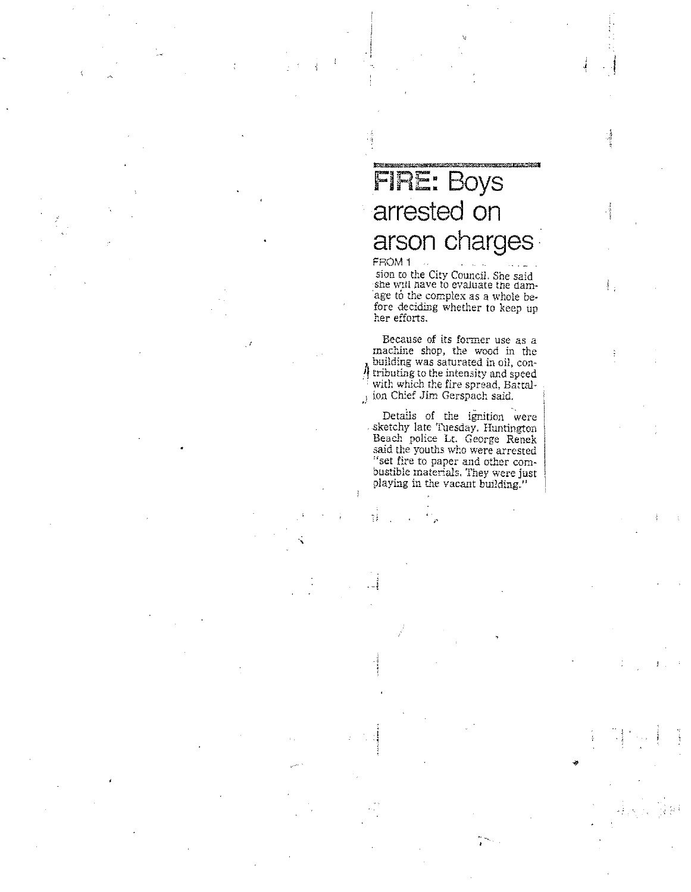### **FIRE: Boys** arrested on arson charges

FROM 1 sion to the City Council. She said<br>she will have to evaluate the damage to the complex as a whole before deciding whether to keep up her efforts.

 $\frac{3}{2}$  .

Because of its former use as a machine shop, the wood in the building was saturated in oil, con-4 tributing to the intensity and speed with which the fire spread, Battal-) ion Chief Jim Gerspach said.

Details of the ignition were<br>sketchy late Tuesday. Huntington Beach police Lt. George Renek said the youths who were arrested "set fire to paper and other combustible materials. They were just playing in the vacant building."